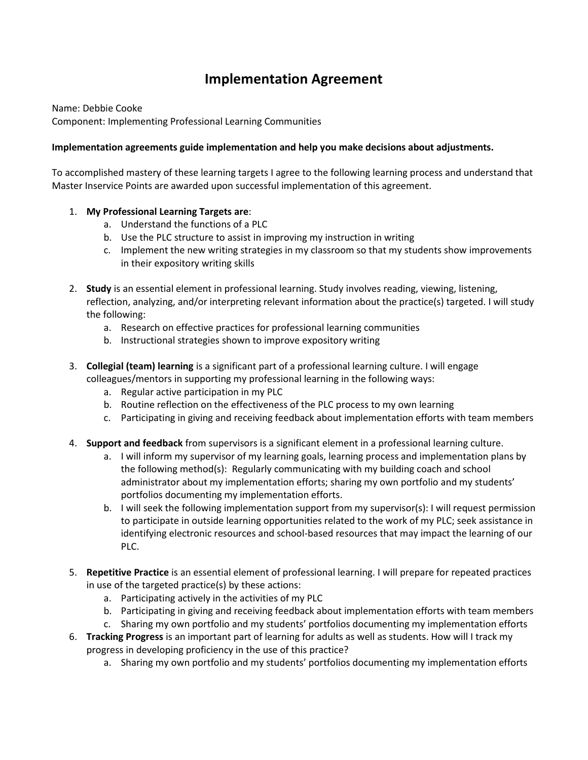## **Implementation Agreement**

Name: Debbie Cooke Component: Implementing Professional Learning Communities

## **Implementation agreements guide implementation and help you make decisions about adjustments.**

To accomplished mastery of these learning targets I agree to the following learning process and understand that Master Inservice Points are awarded upon successful implementation of this agreement.

## 1. **My Professional Learning Targets are**:

- a. Understand the functions of a PLC
- b. Use the PLC structure to assist in improving my instruction in writing
- c. Implement the new writing strategies in my classroom so that my students show improvements in their expository writing skills
- 2. **Study** is an essential element in professional learning. Study involves reading, viewing, listening, reflection, analyzing, and/or interpreting relevant information about the practice(s) targeted. I will study the following:
	- a. Research on effective practices for professional learning communities
	- b. Instructional strategies shown to improve expository writing
- 3. **Collegial (team) learning** is a significant part of a professional learning culture. I will engage colleagues/mentors in supporting my professional learning in the following ways:
	- a. Regular active participation in my PLC
	- b. Routine reflection on the effectiveness of the PLC process to my own learning
	- c. Participating in giving and receiving feedback about implementation efforts with team members
- 4. **Support and feedback** from supervisors is a significant element in a professional learning culture.
	- a. I will inform my supervisor of my learning goals, learning process and implementation plans by the following method(s): Regularly communicating with my building coach and school administrator about my implementation efforts; sharing my own portfolio and my students' portfolios documenting my implementation efforts.
	- b. I will seek the following implementation support from my supervisor(s): I will request permission to participate in outside learning opportunities related to the work of my PLC; seek assistance in identifying electronic resources and school-based resources that may impact the learning of our PLC.
- 5. **Repetitive Practice** is an essential element of professional learning. I will prepare for repeated practices in use of the targeted practice(s) by these actions:
	- a. Participating actively in the activities of my PLC
	- b. Participating in giving and receiving feedback about implementation efforts with team members
	- c. Sharing my own portfolio and my students' portfolios documenting my implementation efforts
- 6. **Tracking Progress** is an important part of learning for adults as well as students. How will I track my progress in developing proficiency in the use of this practice?
	- a. Sharing my own portfolio and my students' portfolios documenting my implementation efforts